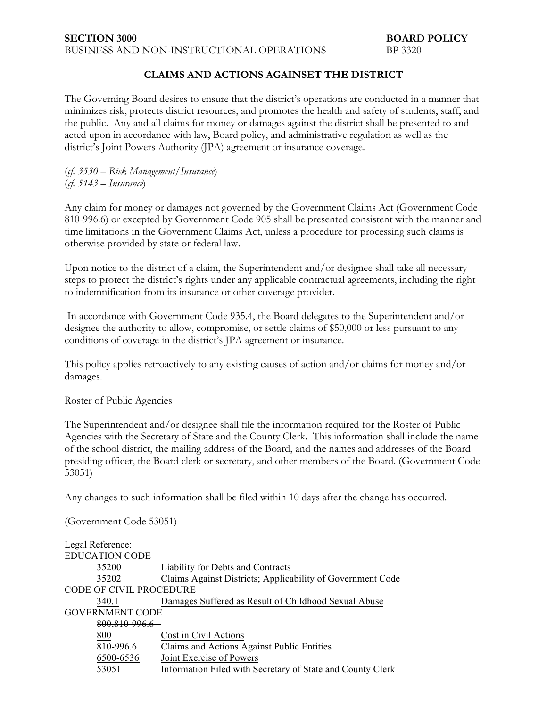## **CLAIMS AND ACTIONS AGAINSET THE DISTRICT**

The Governing Board desires to ensure that the district's operations are conducted in a manner that minimizes risk, protects district resources, and promotes the health and safety of students, staff, and the public. Any and all claims for money or damages against the district shall be presented to and acted upon in accordance with law, Board policy, and administrative regulation as well as the district's Joint Powers Authority (JPA) agreement or insurance coverage.

(*cf. 3530* – *Risk Management/Insurance*) (*cf. 5143* – *Insurance*)

Any claim for money or damages not governed by the Government Claims Act (Government Code 810-996.6) or excepted by Government Code 905 shall be presented consistent with the manner and time limitations in the Government Claims Act, unless a procedure for processing such claims is otherwise provided by state or federal law.

Upon notice to the district of a claim, the Superintendent and/or designee shall take all necessary steps to protect the district's rights under any applicable contractual agreements, including the right to indemnification from its insurance or other coverage provider.

In accordance with Government Code 935.4, the Board delegates to the Superintendent and/or designee the authority to allow, compromise, or settle claims of \$50,000 or less pursuant to any conditions of coverage in the district's JPA agreement or insurance.

This policy applies retroactively to any existing causes of action and/or claims for money and/or damages.

Roster of Public Agencies

The Superintendent and/or designee shall file the information required for the Roster of Public Agencies with the Secretary of State and the County Clerk. This information shall include the name of the school district, the mailing address of the Board, and the names and addresses of the Board presiding officer, the Board clerk or secretary, and other members of the Board. (Government Code 53051)

Any changes to such information shall be filed within 10 days after the change has occurred.

(Government Code 53051)

| Legal Reference:               |                                                            |
|--------------------------------|------------------------------------------------------------|
| <b>EDUCATION CODE</b>          |                                                            |
| 35200                          | Liability for Debts and Contracts                          |
| 35202                          | Claims Against Districts; Applicability of Government Code |
| <b>CODE OF CIVIL PROCEDURE</b> |                                                            |
| 340.1                          | Damages Suffered as Result of Childhood Sexual Abuse       |
| <b>GOVERNMENT CODE</b>         |                                                            |
| 800,810-996.6                  |                                                            |
| 800                            | Cost in Civil Actions                                      |
| 810-996.6                      | Claims and Actions Against Public Entities                 |
| 6500-6536                      | Joint Exercise of Powers                                   |
| 53051                          | Information Filed with Secretary of State and County Clerk |